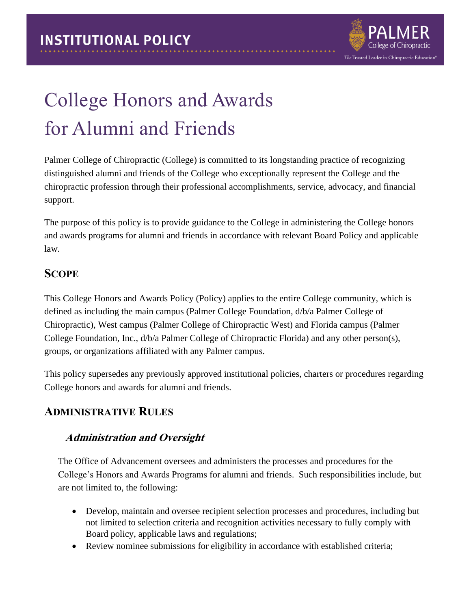

# College Honors and Awards for Alumni and Friends

Palmer College of Chiropractic (College) is committed to its longstanding practice of recognizing distinguished alumni and friends of the College who exceptionally represent the College and the chiropractic profession through their professional accomplishments, service, advocacy, and financial support.

The purpose of this policy is to provide guidance to the College in administering the College honors and awards programs for alumni and friends in accordance with relevant Board Policy and applicable law.

## **SCOPE**

This College Honors and Awards Policy (Policy) applies to the entire College community, which is defined as including the main campus (Palmer College Foundation, d/b/a Palmer College of Chiropractic), West campus (Palmer College of Chiropractic West) and Florida campus (Palmer College Foundation, Inc., d/b/a Palmer College of Chiropractic Florida) and any other person(s), groups, or organizations affiliated with any Palmer campus.

This policy supersedes any previously approved institutional policies, charters or procedures regarding College honors and awards for alumni and friends.

## **ADMINISTRATIVE RULES**

### **Administration and Oversight**

The Office of Advancement oversees and administers the processes and procedures for the College's Honors and Awards Programs for alumni and friends. Such responsibilities include, but are not limited to, the following:

- Develop, maintain and oversee recipient selection processes and procedures, including but not limited to selection criteria and recognition activities necessary to fully comply with Board policy, applicable laws and regulations;
- Review nominee submissions for eligibility in accordance with established criteria;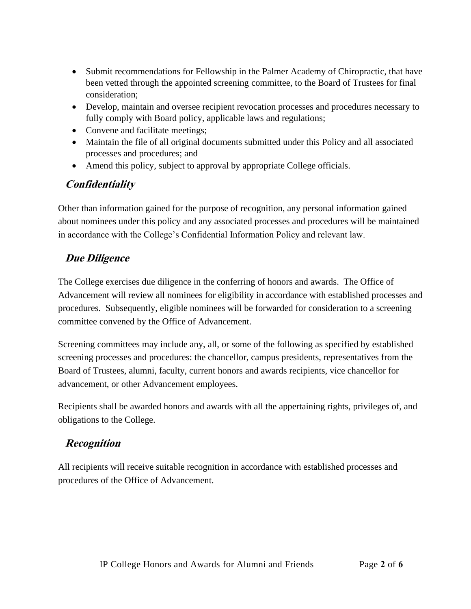- Submit recommendations for Fellowship in the Palmer Academy of Chiropractic, that have been vetted through the appointed screening committee, to the Board of Trustees for final consideration;
- Develop, maintain and oversee recipient revocation processes and procedures necessary to fully comply with Board policy, applicable laws and regulations;
- Convene and facilitate meetings;
- Maintain the file of all original documents submitted under this Policy and all associated processes and procedures; and
- Amend this policy, subject to approval by appropriate College officials.

## **Confidentiality**

Other than information gained for the purpose of recognition, any personal information gained about nominees under this policy and any associated processes and procedures will be maintained in accordance with the College's Confidential Information Policy and relevant law.

## **Due Diligence**

The College exercises due diligence in the conferring of honors and awards. The Office of Advancement will review all nominees for eligibility in accordance with established processes and procedures. Subsequently, eligible nominees will be forwarded for consideration to a screening committee convened by the Office of Advancement.

Screening committees may include any, all, or some of the following as specified by established screening processes and procedures: the chancellor, campus presidents, representatives from the Board of Trustees, alumni, faculty, current honors and awards recipients, vice chancellor for advancement, or other Advancement employees.

Recipients shall be awarded honors and awards with all the appertaining rights, privileges of, and obligations to the College.

## **Recognition**

All recipients will receive suitable recognition in accordance with established processes and procedures of the Office of Advancement.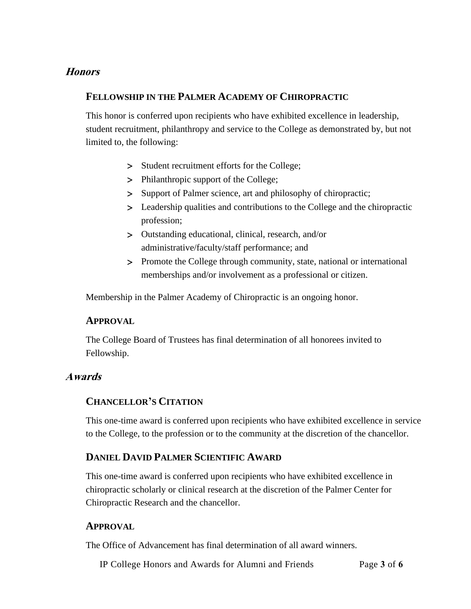#### **Honors**

#### **FELLOWSHIP IN THE PALMER ACADEMY OF CHIROPRACTIC**

This honor is conferred upon recipients who have exhibited excellence in leadership, student recruitment, philanthropy and service to the College as demonstrated by, but not limited to, the following:

- > Student recruitment efforts for the College;
- > Philanthropic support of the College;
- > Support of Palmer science, art and philosophy of chiropractic;
- Leadership qualities and contributions to the College and the chiropractic profession;
- Outstanding educational, clinical, research, and/or administrative/faculty/staff performance; and
- > Promote the College through community, state, national or international memberships and/or involvement as a professional or citizen.

Membership in the Palmer Academy of Chiropractic is an ongoing honor.

#### **APPROVAL**

The College Board of Trustees has final determination of all honorees invited to Fellowship.

#### **Awards**

#### **CHANCELLOR'S CITATION**

This one-time award is conferred upon recipients who have exhibited excellence in service to the College, to the profession or to the community at the discretion of the chancellor.

#### **DANIEL DAVID PALMER SCIENTIFIC AWARD**

This one-time award is conferred upon recipients who have exhibited excellence in chiropractic scholarly or clinical research at the discretion of the Palmer Center for Chiropractic Research and the chancellor.

#### **APPROVAL**

The Office of Advancement has final determination of all award winners.

IP College Honors and Awards for Alumni and Friends Page **3** of **6**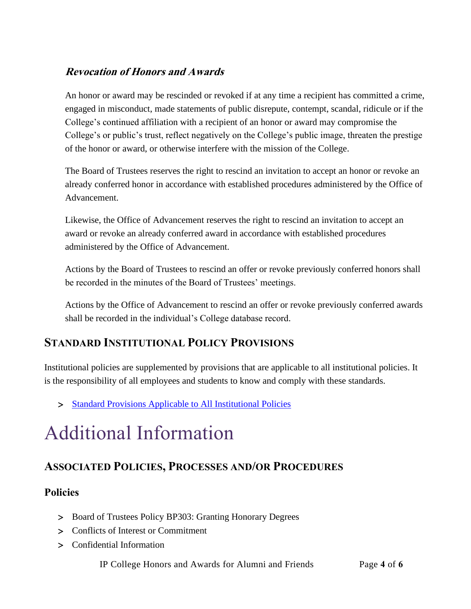## **Revocation of Honors and Awards**

An honor or award may be rescinded or revoked if at any time a recipient has committed a crime, engaged in misconduct, made statements of public disrepute, contempt, scandal, ridicule or if the College's continued affiliation with a recipient of an honor or award may compromise the College's or public's trust, reflect negatively on the College's public image, threaten the prestige of the honor or award, or otherwise interfere with the mission of the College.

The Board of Trustees reserves the right to rescind an invitation to accept an honor or revoke an already conferred honor in accordance with established procedures administered by the Office of Advancement.

Likewise, the Office of Advancement reserves the right to rescind an invitation to accept an award or revoke an already conferred award in accordance with established procedures administered by the Office of Advancement.

Actions by the Board of Trustees to rescind an offer or revoke previously conferred honors shall be recorded in the minutes of the Board of Trustees' meetings.

Actions by the Office of Advancement to rescind an offer or revoke previously conferred awards shall be recorded in the individual's College database record.

# **STANDARD INSTITUTIONAL POLICY PROVISIONS**

Institutional policies are supplemented by provisions that are applicable to all institutional policies. It is the responsibility of all employees and students to know and comply with these standards.

> [Standard Provisions Applicable to All Institutional Policies](http://www.palmer.edu/uploadedFiles/Pages/Students/Resources_and_Offices/Handbook_and_Policies/_pdf/Standard-Provisions-Applicable-to-All-Institutional-Policies.pdf)

# Additional Information

# **ASSOCIATED POLICIES, PROCESSES AND/OR PROCEDURES**

### **Policies**

- > Board of Trustees Policy BP303: Granting Honorary Degrees
- Conflicts of Interest or Commitment
- Confidential Information

IP College Honors and Awards for Alumni and Friends Page **4** of **6**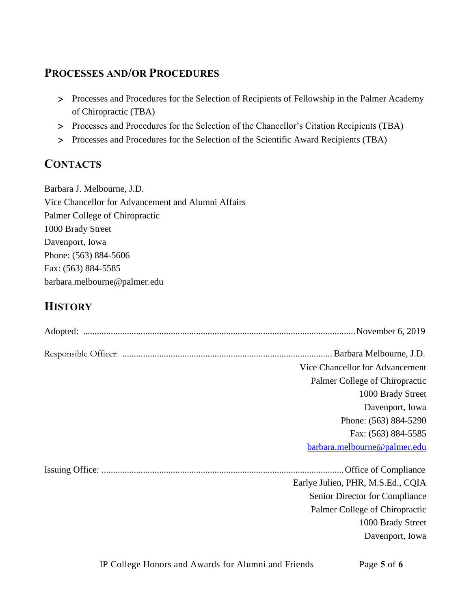# **PROCESSES AND/OR PROCEDURES**

- > Processes and Procedures for the Selection of Recipients of Fellowship in the Palmer Academy of Chiropractic (TBA)
- Processes and Procedures for the Selection of the Chancellor's Citation Recipients (TBA)
- Processes and Procedures for the Selection of the Scientific Award Recipients (TBA)

# **CONTACTS**

Barbara J. Melbourne, J.D. Vice Chancellor for Advancement and Alumni Affairs Palmer College of Chiropractic 1000 Brady Street Davenport, Iowa Phone: (563) 884-5606 Fax: (563) 884-5585 barbara.melbourne@palmer.edu

# **HISTORY**

| Vice Chancellor for Advancement<br>Palmer College of Chiropractic<br>1000 Brady Street<br>Davenport, Iowa<br>Phone: (563) 884-5290<br>Fax: (563) 884-5585<br>barbara.melbourne@palmer.edu<br>Earlye Julien, PHR, M.S.Ed., CQIA<br>Senior Director for Compliance<br>Palmer College of Chiropractic<br>1000 Brady Street<br>Davenport, Iowa |  |
|--------------------------------------------------------------------------------------------------------------------------------------------------------------------------------------------------------------------------------------------------------------------------------------------------------------------------------------------|--|
|                                                                                                                                                                                                                                                                                                                                            |  |
|                                                                                                                                                                                                                                                                                                                                            |  |
|                                                                                                                                                                                                                                                                                                                                            |  |
|                                                                                                                                                                                                                                                                                                                                            |  |
|                                                                                                                                                                                                                                                                                                                                            |  |
|                                                                                                                                                                                                                                                                                                                                            |  |
|                                                                                                                                                                                                                                                                                                                                            |  |
|                                                                                                                                                                                                                                                                                                                                            |  |
|                                                                                                                                                                                                                                                                                                                                            |  |
|                                                                                                                                                                                                                                                                                                                                            |  |
|                                                                                                                                                                                                                                                                                                                                            |  |
|                                                                                                                                                                                                                                                                                                                                            |  |
|                                                                                                                                                                                                                                                                                                                                            |  |
|                                                                                                                                                                                                                                                                                                                                            |  |